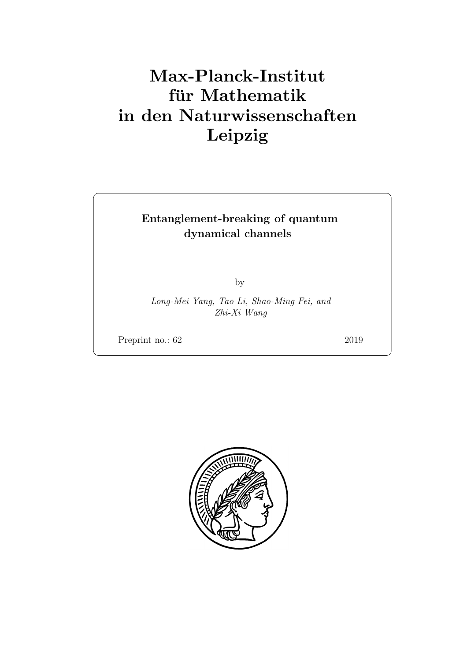# Max-Planck-Institut für Mathematik in den Naturwissenschaften Leipzig

# Entanglement-breaking of quantum dynamical channels

by

Long-Mei Yang, Tao Li, Shao-Ming Fei, and Zhi-Xi Wang

Preprint no.: 62 2019

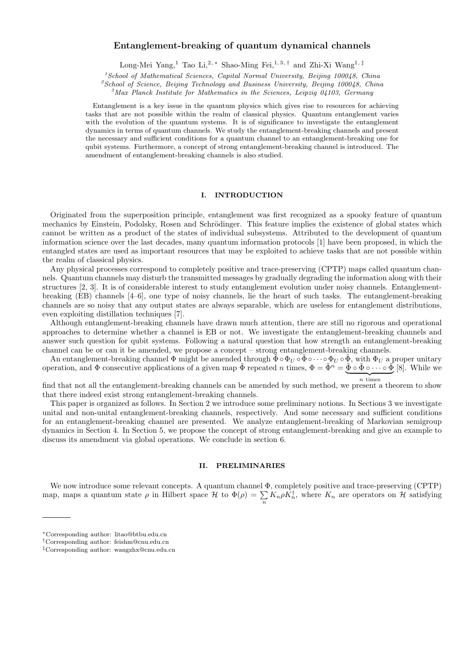# **Entanglement-breaking of quantum dynamical channels**

Long-Mei Yang,<sup>1</sup> Tao Li,2, *<sup>∗</sup>* Shao-Ming Fei,1, 3, *†* and Zhi-Xi Wang1, *‡*

*<sup>1</sup>School of Mathematical Sciences, Capital Normal University, Beijing 100048, China*

*<sup>2</sup>School of Science, Beijing Technology and Business University, Beijing 100048, China*

*<sup>3</sup>Max Planck Institute for Mathematics in the Sciences, Leipzig 04103, Germany*

Entanglement is a key issue in the quantum physics which gives rise to resources for achieving tasks that are not possible within the realm of classical physics. Quantum entanglement varies with the evolution of the quantum systems. It is of significance to investigate the entanglement dynamics in terms of quantum channels. We study the entanglement-breaking channels and present the necessary and sufficient conditions for a quantum channel to an entanglement-breaking one for qubit systems. Furthermore, a concept of strong entanglement-breaking channel is introduced. The amendment of entanglement-breaking channels is also studied.

### **I. INTRODUCTION**

Originated from the superposition principle, entanglement was first recognized as a spooky feature of quantum mechanics by Einstein, Podolsky, Rosen and Schrödinger. This feature implies the existence of global states which cannot be written as a product of the states of individual subsystems. Attributed to the development of quantum information science over the last decades, many quantum information protocols [1] have been proposed, in which the entangled states are used as important resources that may be exploited to achieve tasks that are not possible within the realm of classical physics.

Any physical processes correspond to completely positive and trace-preserving (CPTP) maps called quantum channels. Quantum channels may disturb the transmitted messages by gradually degrading the information along with their structures [2, 3]. It is of considerable interest to study entanglement evolution under noisy channels. Entanglementbreaking (EB) channels [4–6], one type of noisy channels, lie the heart of such tasks. The entanglement-breaking channels are so noisy that any output states are always separable, which are useless for entanglement distributions, even exploiting distillation techniques [7].

Although entanglement-breaking channels have drawn much attention, there are still no rigorous and operational approaches to determine whether a channel is EB or not. We investigate the entanglement-breaking channels and answer such question for qubit systems. Following a natural question that how strength an entanglement-breaking channel can be or can it be amended, we propose a concept – strong entanglement-breaking channels.

An entanglement-breaking channel  $\Phi$  might be amended through  $\bar{\Phi} \circ \Phi_{U} \circ \bar{\Phi} \circ \cdots \circ \Phi_{U} \circ \bar{\Phi}$ , with  $\Phi_{U}$  a proper unitary operation, and  $\Phi$  consecutive applications of a given map  $\tilde{\Phi}$  repeated n times,  $\Phi = \tilde{\Phi}^n = \tilde{\Phi} \circ \tilde{\Phi} \circ \cdots \circ \tilde{\Phi}$  [8]. While we  $\overline{n}$  times

find that not all the entanglement-breaking channels can be amended by such method, we present a theorem to show that there indeed exist strong entanglement-breaking channels.

This paper is organized as follows. In Section 2 we introduce some preliminary notions. In Sections 3 we investigate unital and non-unital entanglement-breaking channels, respectively. And some necessary and sufficient conditions for an entanglement-breaking channel are presented. We analyze entanglement-breaking of Markovian semigroup dynamics in Section 4. In Section 5, we propose the concept of strong entanglement-breaking and give an example to discuss its amendment via global operations. We conclude in section 6.

### **II. PRELIMINARIES**

We now introduce some relevant concepts. A quantum channel Φ, completely positive and trace-preserving (CPTP) map, maps a quantum state  $\rho$  in Hilbert space  $\mathcal{H}$  to  $\Phi(\rho) = \sum_{n} K_n \rho K_n^{\dagger}$ , where  $K_n$  are operators on  $\mathcal{H}$  satisfying

*<sup>∗</sup>*Corresponding author: litao@btbu.edu.cn

*<sup>†</sup>*Corresponding author: feishm@cnu.edu.cn

*<sup>‡</sup>*Corresponding author: wangzhx@cnu.edu.cn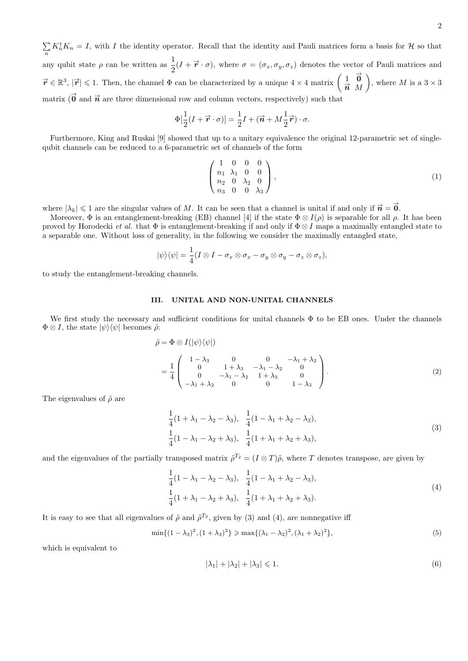$\sum_{n} K_n^{\dagger} K_n = I$ , with *I* the identity operator. Recall that the identity and Pauli matrices form a basis for *H* so that any qubit state  $\rho$  can be written as  $\frac{1}{2}(I + \vec{r} \cdot \sigma)$ , where  $\sigma = (\sigma_x, \sigma_y, \sigma_z)$  denotes the vector of Pauli matrices and  $\vec{r} \in \mathbb{R}^3$ ,  $|\vec{r}| \leq 1$ . Then, the channel  $\Phi$  can be characterized by a unique  $4 \times 4$  matrix  $\begin{pmatrix} 1 & \vec{0} \\ \vec{r} & M \end{pmatrix}$ *n <sup>→</sup> M* ), where *M* is a  $3 \times 3$ matrix  $\overrightarrow{0}$  and  $\overrightarrow{n}$  are three dimensional row and column vectors, respectively) such that

$$
\Phi[\frac{1}{2}(I + \vec{r} \cdot \sigma)] = \frac{1}{2}I + (\vec{n} + M\frac{1}{2}\vec{r}) \cdot \sigma.
$$

Furthermore, King and Ruskai [9] showed that up to a unitary equivalence the original 12-parametric set of singlequbit channels can be reduced to a 6-parametric set of channels of the form

$$
\begin{pmatrix}\n1 & 0 & 0 & 0 \\
n_1 & \lambda_1 & 0 & 0 \\
n_2 & 0 & \lambda_2 & 0 \\
n_3 & 0 & 0 & \lambda_3\n\end{pmatrix},
$$
\n(1)

where  $|\lambda_k| \leq 1$  are the singular values of M. It can be seen that a channel is unital if and only if  $\vec{n} = \vec{0}$ .

Moreover,  $\Phi$  is an entanglement-breaking (EB) channel [4] if the state  $\Phi \otimes I(\rho)$  is separable for all  $\rho$ . It has been proved by Horodecki *et al.* that  $\Phi$  is entanglement-breaking if and only if  $\Phi \otimes I$  maps a maximally entangled state to a separable one. Without loss of generality, in the following we consider the maximally entangled state,

$$
|\psi\rangle\langle\psi| = \frac{1}{4}(I \otimes I - \sigma_x \otimes \sigma_x - \sigma_y \otimes \sigma_y - \sigma_z \otimes \sigma_z),
$$

to study the entanglement-breaking channels.

# **III. UNITAL AND NON-UNITAL CHANNELS**

We first study the necessary and sufficient conditions for unital channels  $\Phi$  to be EB ones. Under the channels  $\Phi \otimes I$ , the state  $|\psi\rangle\langle\psi|$  becomes  $\tilde{\rho}$ :

$$
\tilde{\rho} = \Phi \otimes I(|\psi\rangle\langle\psi|)
$$
\n
$$
= \frac{1}{4} \begin{pmatrix}\n1 - \lambda_3 & 0 & 0 & -\lambda_1 + \lambda_2 \\
0 & 1 + \lambda_3 & -\lambda_1 - \lambda_2 & 0 \\
0 & -\lambda_1 - \lambda_2 & 1 + \lambda_3 & 0 \\
-\lambda_1 + \lambda_2 & 0 & 0 & 1 - \lambda_3\n\end{pmatrix}.
$$
\n(2)

The eigenvalues of  $\tilde{\rho}$  are

$$
\frac{1}{4}(1+\lambda_1-\lambda_2-\lambda_3), \quad \frac{1}{4}(1-\lambda_1+\lambda_2-\lambda_3),\n\frac{1}{4}(1-\lambda_1-\lambda_2+\lambda_3), \quad \frac{1}{4}(1+\lambda_1+\lambda_2+\lambda_3),
$$
\n(3)

and the eigenvalues of the partially transposed matrix  $\tilde{\rho}^{T_2} = (I \otimes T)\tilde{\rho}$ , where *T* denotes transpose, are given by

$$
\frac{1}{4}(1 - \lambda_1 - \lambda_2 - \lambda_3), \quad \frac{1}{4}(1 - \lambda_1 + \lambda_2 - \lambda_3), \n\frac{1}{4}(1 + \lambda_1 - \lambda_2 + \lambda_3), \quad \frac{1}{4}(1 + \lambda_1 + \lambda_2 + \lambda_3).
$$
\n(4)

It is easy to see that all eigenvalues of  $\tilde{\rho}$  and  $\tilde{\rho}^{T_2}$ , given by (3) and (4), are nonnegative iff

$$
\min\{(1-\lambda_3)^2, (1+\lambda_3)^2\} \ge \max\{(\lambda_1-\lambda_2)^2, (\lambda_1+\lambda_2)^2\},\tag{5}
$$

which is equivalent to

$$
|\lambda_1| + |\lambda_2| + |\lambda_3| \leq 1. \tag{6}
$$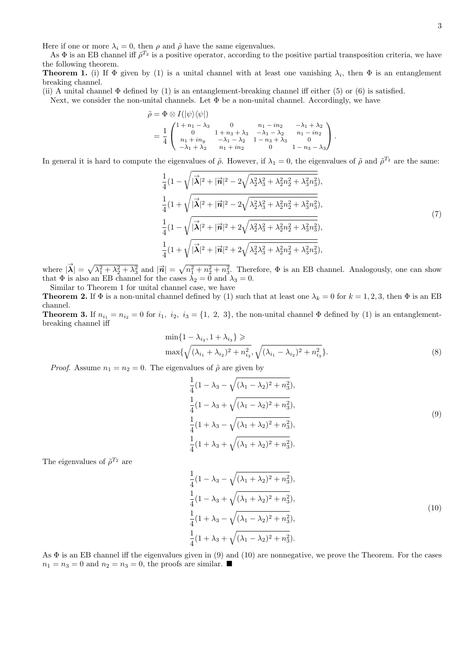Here if one or more  $\lambda_i = 0$ , then  $\rho$  and  $\tilde{\rho}$  have the same eigenvalues.

As  $\Phi$  is an EB channel iff  $\tilde{\rho}^{T_2}$  is a positive operator, according to the positive partial transposition criteria, we have the following theorem.

**Theorem 1.** (i) If  $\Phi$  given by (1) is a unital channel with at least one vanishing  $\lambda_i$ , then  $\Phi$  is an entanglement breaking channel.

(ii) A unital channel  $\Phi$  defined by (1) is an entanglement-breaking channel iff either (5) or (6) is satisfied.

Next, we consider the non-unital channels. Let  $\Phi$  be a non-unital channel. Accordingly, we have

$$
\tilde{\rho} = \Phi \otimes I(|\psi\rangle\langle\psi|)
$$
\n
$$
= \frac{1}{4} \begin{pmatrix}\n1 + n_1 - \lambda_3 & 0 & n_1 - in_2 & -\lambda_1 + \lambda_2 \\
0 & 1 + n_3 + \lambda_3 & -\lambda_1 - \lambda_2 & n_1 - in_2 \\
n_1 + in_y & -\lambda_1 - \lambda_2 & 1 - n_3 + \lambda_3 & 0 \\
-\lambda_1 + \lambda_2 & n_1 + in_2 & 0 & 1 - n_3 - \lambda_3\n\end{pmatrix}.
$$

In general it is hard to compute the eigenvalues of  $\tilde{\rho}$ . However, if  $\lambda_1 = 0$ , the eigenvalues of  $\tilde{\rho}$  and  $\tilde{\rho}^{T_2}$  are the same:

$$
\frac{1}{4}(1-\sqrt{|\vec{\lambda}|^2+|\vec{n}|^2-2\sqrt{\lambda_2^2\lambda_3^2+\lambda_2^2n_2^2+\lambda_3^2n_3^2}}),
$$
\n
$$
\frac{1}{4}(1+\sqrt{|\vec{\lambda}|^2+|\vec{n}|^2-2\sqrt{\lambda_2^2\lambda_3^2+\lambda_2^2n_2^2+\lambda_3^2n_3^2}}),
$$
\n
$$
\frac{1}{4}(1-\sqrt{|\vec{\lambda}|^2+|\vec{n}|^2+2\sqrt{\lambda_2^2\lambda_3^2+\lambda_2^2n_2^2+\lambda_3^2n_3^2}}),
$$
\n
$$
\frac{1}{4}(1+\sqrt{|\vec{\lambda}|^2+|\vec{n}|^2+2\sqrt{\lambda_2^2\lambda_3^2+\lambda_2^2n_2^2+\lambda_3^2n_3^2}}),
$$
\n
$$
(7)
$$

where  $|\vec{\lambda}| = \sqrt{\lambda_1^2 + \lambda_2^2 + \lambda_3^2}$  and  $|\vec{n}| = \sqrt{n_1^2 + n_2^2 + n_3^2}$ . Therefore,  $\Phi$  is an EB channel. Analogously, one can show that  $\Phi$  is also an EB channel for the cases  $\lambda_2 = 0$  and  $\lambda_3 = 0$ . Similar to Theorem 1 for unital channel case, we have

**Theorem 2.** If  $\Phi$  is a non-unital channel defined by (1) such that at least one  $\lambda_k = 0$  for  $k = 1, 2, 3$ , then  $\Phi$  is an EB channel.

**Theorem 3.** If  $n_{i_1} = n_{i_2} = 0$  for  $i_1$ ,  $i_2$ ,  $i_3 = \{1, 2, 3\}$ , the non-unital channel  $\Phi$  defined by (1) is an entanglementbreaking channel iff

$$
\min\{1 - \lambda_{i_3}, 1 + \lambda_{i_3}\} \ge \max\{\sqrt{(\lambda_{i_1} + \lambda_{i_2})^2 + n_{i_3}^2}, \sqrt{(\lambda_{i_1} - \lambda_{i_2})^2 + n_{i_3}^2}\}.
$$
\n(8)

*Proof.* Assume  $n_1 = n_2 = 0$ . The eigenvalues of  $\tilde{\rho}$  are given by

$$
\frac{1}{4}(1 - \lambda_3 - \sqrt{(\lambda_1 - \lambda_2)^2 + n_3^2}),
$$
\n
$$
\frac{1}{4}(1 - \lambda_3 + \sqrt{(\lambda_1 - \lambda_2)^2 + n_3^2}),
$$
\n
$$
\frac{1}{4}(1 + \lambda_3 - \sqrt{(\lambda_1 + \lambda_2)^2 + n_3^2}),
$$
\n
$$
\frac{1}{4}(1 + \lambda_3 + \sqrt{(\lambda_1 + \lambda_2)^2 + n_3^2}).
$$
\n(9)

The eigenvalues of  $\tilde{\rho}^{T_2}$  are

$$
\frac{1}{4}(1 - \lambda_3 - \sqrt{(\lambda_1 + \lambda_2)^2 + n_3^2}),
$$
  
\n
$$
\frac{1}{4}(1 - \lambda_3 + \sqrt{(\lambda_1 + \lambda_2)^2 + n_3^2}),
$$
  
\n
$$
\frac{1}{4}(1 + \lambda_3 - \sqrt{(\lambda_1 - \lambda_2)^2 + n_3^2}),
$$
  
\n
$$
\frac{1}{4}(1 + \lambda_3 + \sqrt{(\lambda_1 - \lambda_2)^2 + n_3^2}).
$$
\n(10)

As Φ is an EB channel iff the eigenvalues given in (9) and (10) are nonnegative, we prove the Theorem. For the cases  $n_1 = n_3 = 0$  and  $n_2 = n_3 = 0$ , the proofs are similar.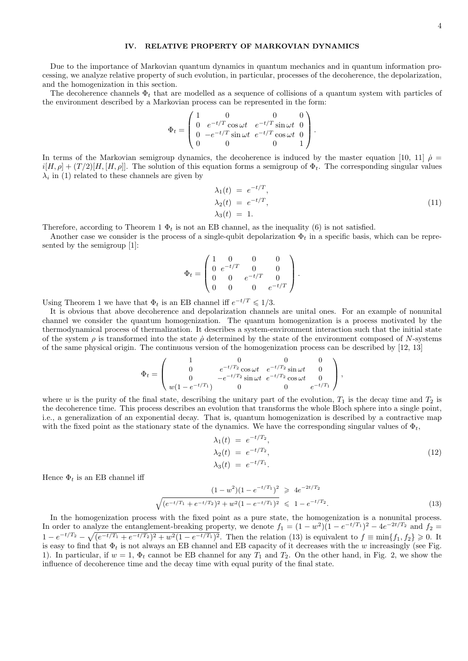# **IV. RELATIVE PROPERTY OF MARKOVIAN DYNAMICS**

Due to the importance of Markovian quantum dynamics in quantum mechanics and in quantum information processing, we analyze relative property of such evolution, in particular, processes of the decoherence, the depolarization, and the homogenization in this section.

The decoherence channels  $\Phi_t$  that are modelled as a sequence of collisions of a quantum system with particles of the environment described by a Markovian process can be represented in the form:

$$
\Phi_t = \begin{pmatrix} 1 & 0 & 0 & 0 \\ 0 & e^{-t/T} \cos \omega t & e^{-t/T} \sin \omega t & 0 \\ 0 & -e^{-t/T} \sin \omega t & e^{-t/T} \cos \omega t & 0 \\ 0 & 0 & 0 & 1 \end{pmatrix}.
$$

In terms of the Markovian semigroup dynamics, the decoherence is induced by the master equation [10, 11]  $\dot{\rho}$  =  $i[H, \rho] + (T/2)[H, [H, \rho]]$ . The solution of this equation forms a semigroup of  $\Phi_t$ . The corresponding singular values  $\lambda_i$  in (1) related to these channels are given by

$$
\lambda_1(t) = e^{-t/T},
$$
  
\n
$$
\lambda_2(t) = e^{-t/T},
$$
  
\n
$$
\lambda_3(t) = 1.
$$
\n(11)

Therefore, according to Theorem 1  $\Phi_t$  is not an EB channel, as the inequality (6) is not satisfied.

Another case we consider is the process of a single-qubit depolarization  $\Phi_t$  in a specific basis, which can be represented by the semigroup [1]:

$$
\Phi_t = \begin{pmatrix} 1 & 0 & 0 & 0 \\ 0 & e^{-t/T} & 0 & 0 \\ 0 & 0 & e^{-t/T} & 0 \\ 0 & 0 & 0 & e^{-t/T} \end{pmatrix}.
$$

Using Theorem 1 we have that  $\Phi_t$  is an EB channel iff  $e^{-t/T} \leq 1/3$ .

It is obvious that above decoherence and depolarization channels are unital ones. For an example of nonunital channel we consider the quantum homogenization. The quantum homogenization is a process motivated by the thermodynamical process of thermalization. It describes a system-environment interaction such that the initial state of the system  $\rho$  is transformed into the state  $\rho$  determined by the state of the environment composed of *N*-systems of the same physical origin. The continuous version of the homogenization process can be described by [12, 13]

$$
\Phi_t = \begin{pmatrix} 1 & 0 & 0 & 0 \\ 0 & e^{-t/T_2} \cos \omega t & e^{-t/T_2} \sin \omega t & 0 \\ 0 & -e^{-t/T_2} \sin \omega t & e^{-t/T_2} \cos \omega t & 0 \\ w(1 - e^{-t/T_1}) & 0 & 0 & e^{-t/T_1} \end{pmatrix},
$$

where *w* is the purity of the final state, describing the unitary part of the evolution,  $T_1$  is the decay time and  $T_2$  is the decoherence time. This process describes an evolution that transforms the whole Bloch sphere into a single point, i.e., a generalization of an exponential decay. That is, quantum homogenization is described by a contractive map with the fixed point as the stationary state of the dynamics. We have the corresponding singular values of  $\Phi_t$ ,

$$
\lambda_1(t) = e^{-t/T_2},
$$
  
\n
$$
\lambda_2(t) = e^{-t/T_2},
$$
  
\n
$$
\lambda_3(t) = e^{-t/T_1}.
$$
\n(12)

Hence  $\Phi_t$  is an EB channel iff

$$
\frac{(1-w^2)(1-e^{-t/T_1})^2}{\sqrt{(e^{-t/T_1}+e^{-t/T_2})^2+w^2(1-e^{-t/T_1})^2}} \geq 4e^{-2t/T_2}
$$
\n
$$
\leq 1-e^{-t/T_2}.
$$
\n(13)

In the homogenization process with the fixed point as a pure state, the homogenization is a nonunital process. In order to analyze the entanglement-breaking property, we denote  $f_1 = (1 - w^2)(1 - e^{-t/T_1})^2 - 4e^{-2t/T_2}$  and  $f_2 =$  $1 - e^{-t/T_2} - \sqrt{(e^{-t/T_1} + e^{-t/T_2})^2 + w^2(1 - e^{-t/T_1})^2}$ . Then the relation (13) is equivalent to  $f \equiv \min\{f_1, f_2\} \ge 0$ . It is easy to find that Φ*<sup>t</sup>* is not always an EB channel and EB capacity of it decreases with the *w* increasingly (see Fig. 1). In particular, if  $w = 1$ ,  $\Phi_t$  cannot be EB channel for any  $T_1$  and  $T_2$ . On the other hand, in Fig. 2, we show the influence of decoherence time and the decay time with equal purity of the final state.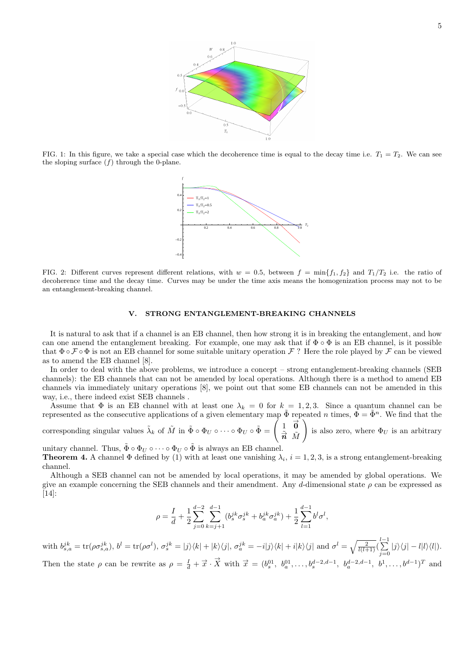

FIG. 1: In this figure, we take a special case which the decoherence time is equal to the decay time i.e.  $T_1 = T_2$ . We can see the sloping surface  $(f)$  through the 0-plane.



FIG. 2: Different curves represent different relations, with  $w = 0.5$ , between  $f = \min\{f_1, f_2\}$  and  $T_1/T_2$  i.e. the ratio of decoherence time and the decay time. Curves may be under the time axis means the homogenization process may not to be an entanglement-breaking channel.

# **V. STRONG ENTANGLEMENT-BREAKING CHANNELS**

It is natural to ask that if a channel is an EB channel, then how strong it is in breaking the entanglement, and how can one amend the entanglement breaking. For example, one may ask that if Φ *◦* Φ is an EB channel, is it possible that Φ *◦ F ◦* Φ is not an EB channel for some suitable unitary operation *F* ? Here the role played by *F* can be viewed as to amend the EB channel [8].

In order to deal with the above problems, we introduce a concept – strong entanglement-breaking channels (SEB channels): the EB channels that can not be amended by local operations. Although there is a method to amend EB channels via immediately unitary operations [8], we point out that some EB channels can not be amended in this way, i.e., there indeed exist SEB channels .

Assume that  $\Phi$  is an EB channel with at least one  $\lambda_k = 0$  for  $k = 1, 2, 3$ . Since a quantum channel can be represented as the consecutive applications of a given elementary map  $\tilde{\Phi}$  repeated *n* times,  $\Phi = \tilde{\Phi}^n$ . We find that the

corresponding singular values  $\tilde{\lambda}_k$  of  $\tilde{M}$  in  $\tilde{\Phi} \circ \Phi_U \circ \cdots \circ \Phi_U \circ \tilde{\Phi} = \begin{pmatrix} 1 & \vec{\mathbf{0}} \\ \frac{\vec{\mathbf{0}}}{2} & \vec{\mathbf{0}} \end{pmatrix}$  $\tilde{\vec{n}}$  *M*  $\setminus$ is also zero, where  $\Phi_U$  is an arbitrary

unitary channel. Thus,  $\tilde{\Phi} \circ \Phi_U \circ \cdots \circ \Phi_U \circ \tilde{\Phi}$  is always an EB channel. **Theorem 4.** A channel  $\Phi$  defined by (1) with at least one vanishing  $\lambda_i$ ,  $i = 1, 2, 3$ , is a strong entanglement-breaking channel.

Although a SEB channel can not be amended by local operations, it may be amended by global operations. We give an example concerning the SEB channels and their amendment. Any *d*-dimensional state *ρ* can be expressed as [14]:

$$
\rho = \frac{I}{d} + \frac{1}{2} \sum_{j=0}^{d-2} \sum_{k=j+1}^{d-1} (b_s^{jk} \sigma_s^{jk} + b_a^{jk} \sigma_a^{jk}) + \frac{1}{2} \sum_{l=1}^{d-1} b^l \sigma^l,
$$

with  $b_{s,a}^{jk} = \text{tr}(\rho \sigma_{s,a}^{jk}), b^l = \text{tr}(\rho \sigma^l), \sigma_s^{jk} = |j\rangle\langle k| + |k\rangle\langle j|, \sigma_a^{jk} = -i|j\rangle\langle k| + i|k\rangle\langle j|$  and  $\sigma^l = \sqrt{\frac{2}{l(l+1)}}(\sum_{j=0}^{l-1}|j\rangle\langle j| - l|l\rangle\langle l|).$ 

Then the state  $\rho$  can be rewrite as  $\rho = \frac{I}{d} + \vec{x} \cdot \vec{X}$  with  $\vec{x} = (b_s^{01}, b_a^{01}, \ldots, b_s^{d-2,d-1}, b_a^{d-2,d-1}, b^1, \ldots, b^{d-1})^T$  and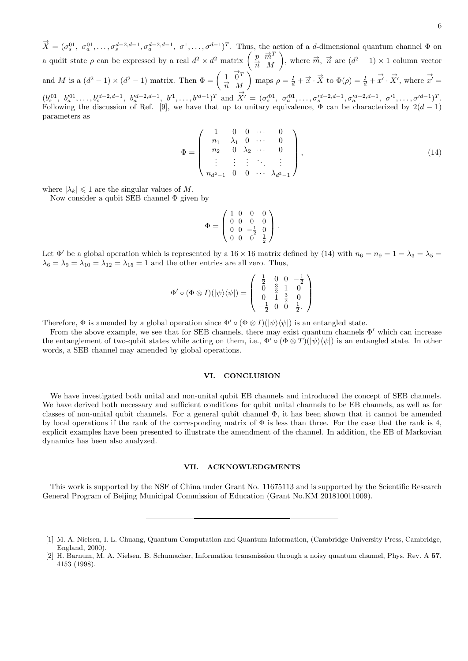$\vec{X} = (\sigma_s^{01}, \sigma_a^{01}, \ldots, \sigma_s^{d-2,d-1}, \sigma_a^{d-2,d-1}, \sigma^1, \ldots, \sigma^{d-1})^T$ . Thus, the action of a *d*-dimensional quantum channel  $\Phi$  on  $a_1, a_2, \ldots, a_s, a_s$ a qudit state  $\rho$  can be expressed by a real  $d^2 \times d^2$  matrix  $\begin{pmatrix} p & \overrightarrow{m}^T \\ \overrightarrow{r} & M \end{pmatrix}$ *n <sup>→</sup> M* ), where  $\vec{m}$ ,  $\vec{n}$  are  $(d^2 - 1) \times 1$  column vector and *M* is a  $(d^2 - 1) \times (d^2 - 1)$  matrix. Then  $\Phi = \begin{pmatrix} 1 & \overrightarrow{0}^T \\ \frac{\overrightarrow{0}}{T} & M \end{pmatrix}$ *n <sup>→</sup> M*  $\int \mathbf{p} \text{ maps } \rho = \frac{I}{d} + \vec{x} \cdot \vec{X}$  to  $\Phi(\rho) = \frac{I}{d} + \vec{x'} \cdot \vec{X'}$ , where  $\vec{x'} =$  $(b_s^{01}, b_a^{01}, \ldots, b_s^{d-2,d-1}, b_a^{d-2,d-1}, b'^1, \ldots, b'^{d-1})^T$  and  $X' = (\sigma_s^{01}, \sigma_a^{01}, \ldots, \sigma_s^{d-2,d-1}, \sigma_a^{d-2,d-1}, \sigma'^1, \ldots, \sigma'^{d-1})^T$ . *→* Following the discussion of Ref. [9], we have that up to unitary equivalence,  $\Phi$  can be characterized by  $2(d-1)$ parameters as

$$
\Phi = \begin{pmatrix} 1 & 0 & 0 & \cdots & 0 \\ n_1 & \lambda_1 & 0 & \cdots & 0 \\ n_2 & 0 & \lambda_2 & \cdots & 0 \\ \vdots & \vdots & \vdots & \ddots & \vdots \\ n_{d^2-1} & 0 & 0 & \cdots & \lambda_{d^2-1} \end{pmatrix},
$$
(14)

where  $|\lambda_k| \leq 1$  are the singular values of M.

Now consider a qubit SEB channel  $\Phi$  given by

$$
\Phi = \begin{pmatrix} 1 & 0 & 0 & 0 \\ 0 & 0 & 0 & 0 \\ 0 & 0 & -\frac{1}{2} & 0 \\ 0 & 0 & 0 & \frac{1}{2} \end{pmatrix}.
$$

Let  $\Phi'$  be a global operation which is represented by a 16 × 16 matrix defined by (14) with  $n_6 = n_9 = 1 = \lambda_3 = \lambda_5 =$  $\lambda_6 = \lambda_9 = \lambda_{10} = \lambda_{12} = \lambda_{15} = 1$  and the other entries are all zero. Thus,

$$
\Phi' \circ (\Phi \otimes I)(|\psi\rangle\langle\psi|) = \begin{pmatrix} \frac{1}{2} & 0 & 0 & -\frac{1}{2} \\ 0 & \frac{3}{2} & 1 & 0 \\ 0 & 1 & \frac{3}{2} & 0 \\ -\frac{1}{2} & 0 & 0 & \frac{1}{2} \end{pmatrix}
$$

Therefore,  $\Phi$  is amended by a global operation since  $\Phi' \circ (\Phi \otimes I)(|\psi\rangle \langle \psi|)$  is an entangled state.

From the above example, we see that for SEB channels, there may exist quantum channels Φ*′* which can increase the entanglement of two-qubit states while acting on them, i.e.,  $\Phi' \circ (\Phi \otimes T)(|\psi\rangle \langle \psi|)$  is an entangled state. In other words, a SEB channel may amended by global operations.

#### **VI. CONCLUSION**

We have investigated both unital and non-unital qubit EB channels and introduced the concept of SEB channels. We have derived both necessary and sufficient conditions for qubit unital channels to be EB channels, as well as for classes of non-unital qubit channels. For a general qubit channel Φ, it has been shown that it cannot be amended by local operations if the rank of the corresponding matrix of  $\Phi$  is less than three. For the case that the rank is 4, explicit examples have been presented to illustrate the amendment of the channel. In addition, the EB of Markovian dynamics has been also analyzed.

# **VII. ACKNOWLEDGMENTS**

This work is supported by the NSF of China under Grant No. 11675113 and is supported by the Scientific Research General Program of Beijing Municipal Commission of Education (Grant No.KM 201810011009).

<sup>[1]</sup> M. A. Nielsen, I. L. Chuang, Quantum Computation and Quantum Information, (Cambridge University Press, Cambridge, England, 2000).

<sup>[2]</sup> H. Barnum, M. A. Nielsen, B. Schumacher, Information transmission through a noisy quantum channel, Phys. Rev. A **57**, 4153 (1998).